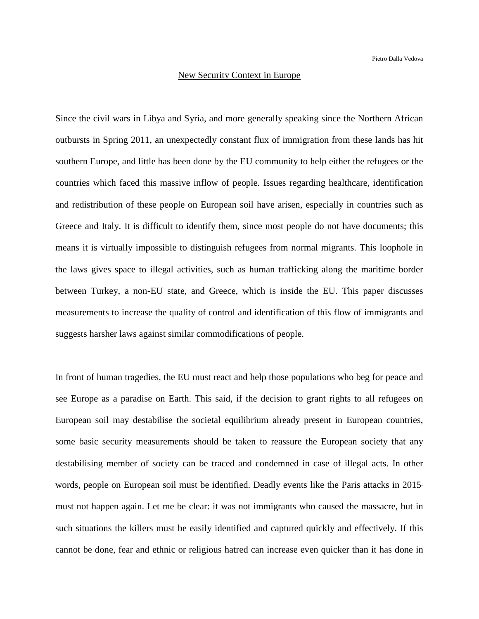## New Security Context in Europe

Since the civil wars in Libya and Syria, and more generally speaking since the Northern African outbursts in Spring 2011, an unexpectedly constant flux of immigration from these lands has hit southern Europe, and little has been done by the EU community to help either the refugees or the countries which faced this massive inflow of people. Issues regarding healthcare, identification and redistribution of these people on European soil have arisen, especially in countries such as Greece and Italy. It is difficult to identify them, since most people do not have documents; this means it is virtually impossible to distinguish refugees from normal migrants. This loophole in the laws gives space to illegal activities, such as human trafficking along the maritime border between Turkey, a non-EU state, and Greece, which is inside the EU. This paper discusses measurements to increase the quality of control and identification of this flow of immigrants and suggests harsher laws against similar commodifications of people.

In front of human tragedies, the EU must react and help those populations who beg for peace and see Europe as a paradise on Earth. This said, if the decision to grant rights to all refugees on European soil may destabilise the societal equilibrium already present in European countries, some basic security measurements should be taken to reassure the European society that any destabilising member of society can be traced and condemned in case of illegal acts. In other words, people on European soil must be identified. Deadly events like the Paris attacks in 2015must not happen again. Let me be clear: it was not immigrants who caused the massacre, but in such situations the killers must be easily identified and captured quickly and effectively. If this cannot be done, fear and ethnic or religious hatred can increase even quicker than it has done in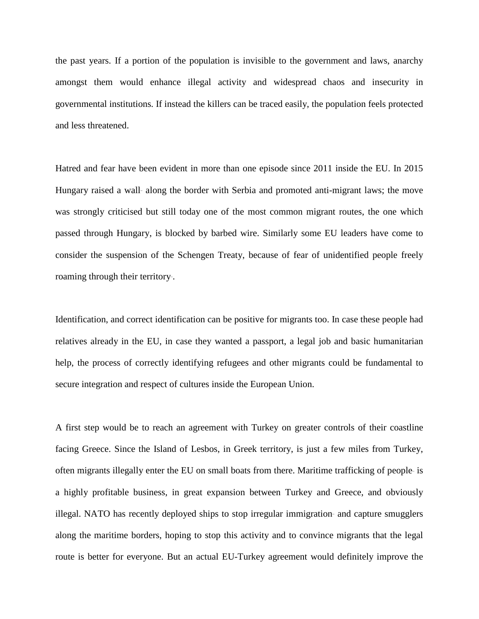the past years. If a portion of the population is invisible to the government and laws, anarchy amongst them would enhance illegal activity and widespread chaos and insecurity in governmental institutions. If instead the killers can be traced easily, the population feels protected and less threatened.

Hatred and fear have been evident in more than one episode since 2011 inside the EU. In 2015 Hungary raised a wall- along the border with Serbia and promoted anti-migrant laws; the move was strongly criticised but still today one of the most common migrant routes, the one which passed through Hungary, is blocked by barbed wire. Similarly some EU leaders have come to consider the suspension of the Schengen Treaty, because of fear of unidentified people freely roaming through their territory-.

Identification, and correct identification can be positive for migrants too. In case these people had relatives already in the EU, in case they wanted a passport, a legal job and basic humanitarian help, the process of correctly identifying refugees and other migrants could be fundamental to secure integration and respect of cultures inside the European Union.

A first step would be to reach an agreement with Turkey on greater controls of their coastline facing Greece. Since the Island of Lesbos, in Greek territory, is just a few miles from Turkey, often migrants illegally enter the EU on small boats from there. Maritime trafficking of people\_ is a highly profitable business, in great expansion between Turkey and Greece, and obviously illegal. NATO has recently deployed ships to stop irregular immigration- and capture smugglers along the maritime borders, hoping to stop this activity and to convince migrants that the legal route is better for everyone. But an actual EU-Turkey agreement would definitely improve the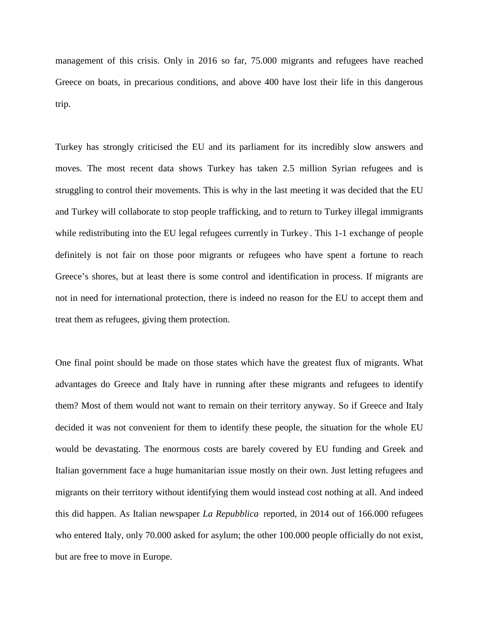management of this crisis. Only in 2016 so far, 75.000 migrants and refugees have reached Greece on boats, in precarious conditions, and above 400 have lost their life in this dangerous trip.

Turkey has strongly criticised the EU and its parliament for its incredibly slow answers and moves. The most recent data shows Turkey has taken 2.5 million Syrian refugees and is struggling to control their movements. This is why in the last meeting it was decided that the EU and Turkey will collaborate to stop people trafficking, and to return to Turkey illegal immigrants while redistributing into the EU legal refugees currently in Turkey. This 1-1 exchange of people definitely is not fair on those poor migrants or refugees who have spent a fortune to reach Greece's shores, but at least there is some control and identification in process. If migrants are not in need for international protection, there is indeed no reason for the EU to accept them and treat them as refugees, giving them protection.

One final point should be made on those states which have the greatest flux of migrants. What advantages do Greece and Italy have in running after these migrants and refugees to identify them? Most of them would not want to remain on their territory anyway. So if Greece and Italy decided it was not convenient for them to identify these people, the situation for the whole EU would be devastating. The enormous costs are barely covered by EU funding and Greek and Italian government face a huge humanitarian issue mostly on their own. Just letting refugees and migrants on their territory without identifying them would instead cost nothing at all. And indeed this did happen. As Italian newspaper *La Repubblica\_* reported, in 2014 out of 166.000 refugees who entered Italy, only 70.000 asked for asylum; the other 100.000 people officially do not exist, but are free to move in Europe.